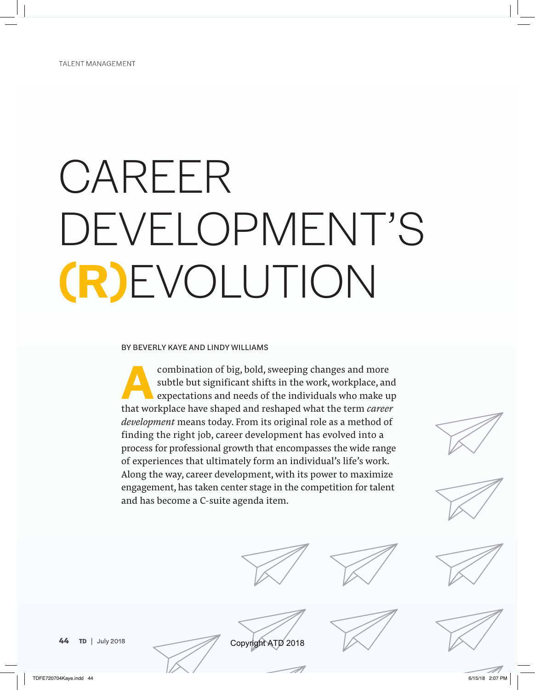# CAREER DEVELOPMENT'S **(R)**EVOLUTION

#### BY BEVERLY KAYE AND LINDY WILLIAMS

combination of big, bold, sweeping changes and more<br>subtle but significant shifts in the work, workplace, an<br>expectations and needs of the individuals who make u subtle but significant shifts in the work, workplace, and expectations and needs of the individuals who make up that workplace have shaped and reshaped what the term *career development* means today. From its original role as a method of finding the right job, career development has evolved into a process for professional growth that encompasses the wide range of experiences that ultimately form an individual's life's work. Along the way, career development, with its power to maximize engagement, has taken center stage in the competition for talent and has become a C-suite agenda item.















Copyright ATD 2018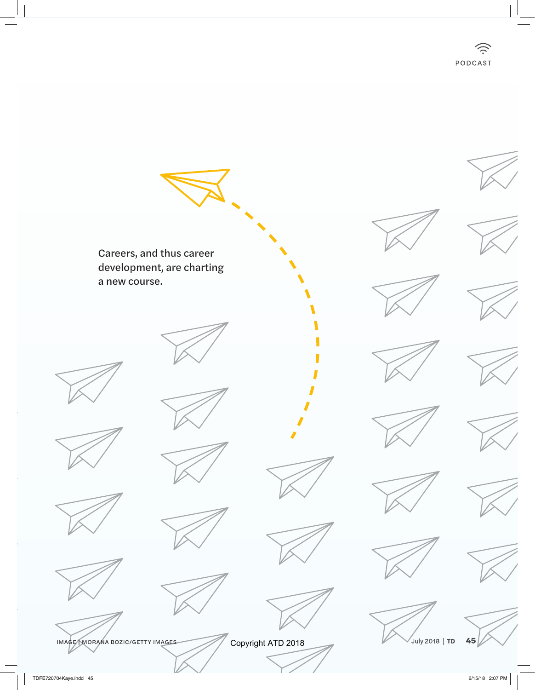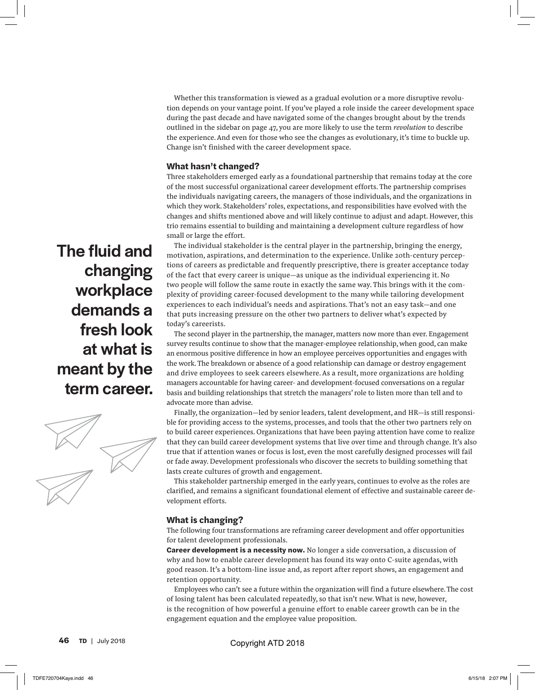Whether this transformation is viewed as a gradual evolution or a more disruptive revolution depends on your vantage point. If you've played a role inside the career development space during the past decade and have navigated some of the changes brought about by the trends outlined in the sidebar on page 47, you are more likely to use the term *revolution* to describe the experience. And even for those who see the changes as evolutionary, it's time to buckle up. Change isn't finished with the career development space.

#### **What hasn't changed?**

Three stakeholders emerged early as a foundational partnership that remains today at the core of the most successful organizational career development efforts. The partnership comprises the individuals navigating careers, the managers of those individuals, and the organizations in which they work. Stakeholders' roles, expectations, and responsibilities have evolved with the changes and shifts mentioned above and will likely continue to adjust and adapt. However, this trio remains essential to building and maintaining a development culture regardless of how small or large the effort.

The individual stakeholder is the central player in the partnership, bringing the energy, motivation, aspirations, and determination to the experience. Unlike 20th-century perceptions of careers as predictable and frequently prescriptive, there is greater acceptance today of the fact that every career is unique—as unique as the individual experiencing it. No two people will follow the same route in exactly the same way. This brings with it the complexity of providing career-focused development to the many while tailoring development experiences to each individual's needs and aspirations. That's not an easy task—and one that puts increasing pressure on the other two partners to deliver what's expected by today's careerists.

The second player in the partnership, the manager, matters now more than ever. Engagement survey results continue to show that the manager-employee relationship, when good, can make an enormous positive difference in how an employee perceives opportunities and engages with the work. The breakdown or absence of a good relationship can damage or destroy engagement and drive employees to seek careers elsewhere. As a result, more organizations are holding managers accountable for having career- and development-focused conversations on a regular basis and building relationships that stretch the managers' role to listen more than tell and to advocate more than advise.

Finally, the organization—led by senior leaders, talent development, and HR—is still responsible for providing access to the systems, processes, and tools that the other two partners rely on to build career experiences. Organizations that have been paying attention have come to realize that they can build career development systems that live over time and through change. It's also true that if attention wanes or focus is lost, even the most carefully designed processes will fail or fade away. Development professionals who discover the secrets to building something that lasts create cultures of growth and engagement.

This stakeholder partnership emerged in the early years, continues to evolve as the roles are clarified, and remains a significant foundational element of effective and sustainable career development efforts.

#### **What is changing?**

The following four transformations are reframing career development and offer opportunities for talent development professionals.

**Career development is a necessity now.** No longer a side conversation, a discussion of why and how to enable career development has found its way onto C-suite agendas, with good reason. It's a bottom-line issue and, as report after report shows, an engagement and retention opportunity.

Employees who can't see a future within the organization will find a future elsewhere. The cost of losing talent has been calculated repeatedly, so that isn't new. What is new, however, is the recognition of how powerful a genuine effort to enable career growth can be in the engagement equation and the employee value proposition.

The fluid and changing workplace demands a fresh look at what is meant by the term career.

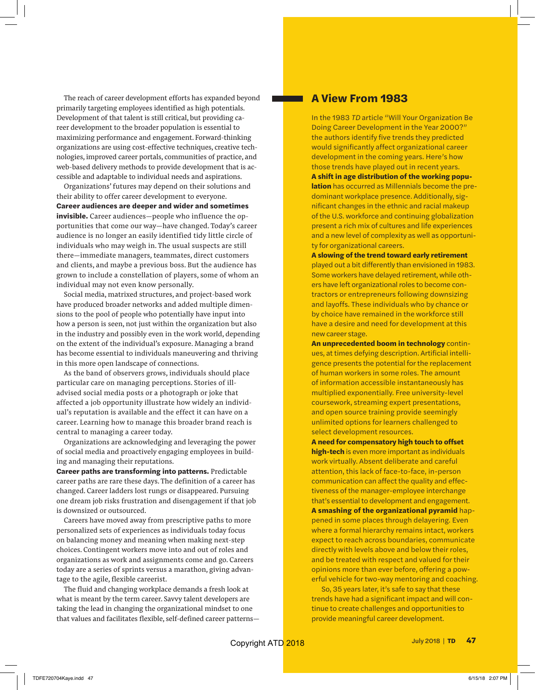The reach of career development efforts has expanded beyond primarily targeting employees identified as high potentials. Development of that talent is still critical, but providing career development to the broader population is essential to maximizing performance and engagement. Forward-thinking organizations are using cost-effective techniques, creative technologies, improved career portals, communities of practice, and web-based delivery methods to provide development that is accessible and adaptable to individual needs and aspirations.

Organizations' futures may depend on their solutions and their ability to offer career development to everyone. **Career audiences are deeper and wider and sometimes invisible.** Career audiences—people who influence the opportunities that come our way—have changed. Today's career audience is no longer an easily identified tidy little circle of individuals who may weigh in. The usual suspects are still there—immediate managers, teammates, direct customers and clients, and maybe a previous boss. But the audience has grown to include a constellation of players, some of whom an individual may not even know personally.

Social media, matrixed structures, and project-based work have produced broader networks and added multiple dimensions to the pool of people who potentially have input into how a person is seen, not just within the organization but also in the industry and possibly even in the work world, depending on the extent of the individual's exposure. Managing a brand has become essential to individuals maneuvering and thriving in this more open landscape of connections.

As the band of observers grows, individuals should place particular care on managing perceptions. Stories of illadvised social media posts or a photograph or joke that affected a job opportunity illustrate how widely an individual's reputation is available and the effect it can have on a career. Learning how to manage this broader brand reach is central to managing a career today.

Organizations are acknowledging and leveraging the power of social media and proactively engaging employees in building and managing their reputations.

**Career paths are transforming into patterns.** Predictable career paths are rare these days. The definition of a career has changed. Career ladders lost rungs or disappeared. Pursuing one dream job risks frustration and disengagement if that job is downsized or outsourced.

Careers have moved away from prescriptive paths to more personalized sets of experiences as individuals today focus on balancing money and meaning when making next-step choices. Contingent workers move into and out of roles and organizations as work and assignments come and go. Careers today are a series of sprints versus a marathon, giving advantage to the agile, flexible careerist.

The fluid and changing workplace demands a fresh look at what is meant by the term career. Savvy talent developers are taking the lead in changing the organizational mindset to one that values and facilitates flexible, self-defined career patterns—

#### **A View From 1983**

In the 1983 *TD* article "Will Your Organization Be Doing Career Development in the Year 2000?" the authors identify five trends they predicted would significantly affect organizational career development in the coming years. Here's how those trends have played out in recent years. **A shift in age distribution of the working population** has occurred as Millennials become the predominant workplace presence. Additionally, significant changes in the ethnic and racial makeup of the U.S. workforce and continuing globalization present a rich mix of cultures and life experiences and a new level of complexity as well as opportunity for organizational careers.

**A slowing of the trend toward early retirement** played out a bit differently than envisioned in 1983. Some workers have delayed retirement, while others have left organizational roles to become contractors or entrepreneurs following downsizing and layoffs. These individuals who by chance or by choice have remained in the workforce still have a desire and need for development at this new career stage.

**An unprecedented boom in technology** continues, at times defying description. Artificial intelligence presents the potential for the replacement of human workers in some roles. The amount of information accessible instantaneously has multiplied exponentially. Free university-level coursework, streaming expert presentations, and open source training provide seemingly unlimited options for learners challenged to select development resources.

**A need for compensatory high touch to offset high-tech** is even more important as individuals work virtually. Absent deliberate and careful attention, this lack of face-to-face, in-person communication can affect the quality and effectiveness of the manager-employee interchange that's essential to development and engagement. **A smashing of the organizational pyramid** happened in some places through delayering. Even where a formal hierarchy remains intact, workers expect to reach across boundaries, communicate

directly with levels above and below their roles, and be treated with respect and valued for their opinions more than ever before, offering a powerful vehicle for two-way mentoring and coaching.

So, 35 years later, it's safe to say that these trends have had a significant impact and will continue to create challenges and opportunities to provide meaningful career development.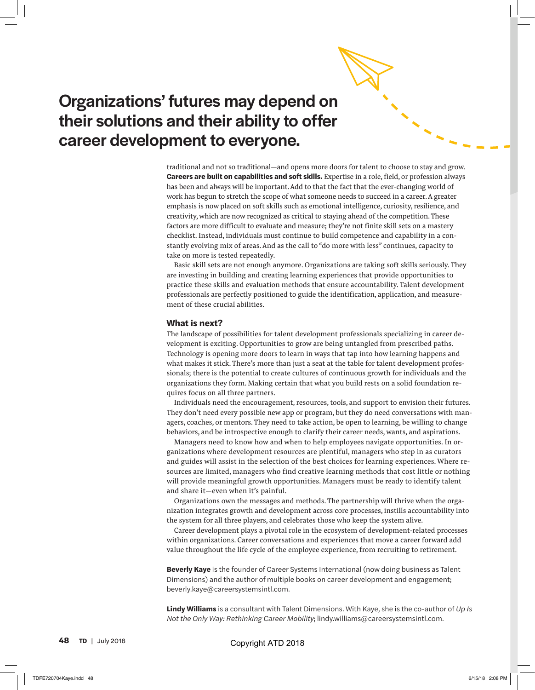## Organizations' futures may depend on their solutions and their ability to offer career development to everyone.

traditional and not so traditional—and opens more doors for talent to choose to stay and grow. **Careers are built on capabilities and soft skills.** Expertise in a role, field, or profession always has been and always will be important. Add to that the fact that the ever-changing world of work has begun to stretch the scope of what someone needs to succeed in a career. A greater emphasis is now placed on soft skills such as emotional intelligence, curiosity, resilience, and creativity, which are now recognized as critical to staying ahead of the competition. These factors are more difficult to evaluate and measure; they're not finite skill sets on a mastery checklist. Instead, individuals must continue to build competence and capability in a constantly evolving mix of areas. And as the call to "do more with less" continues, capacity to take on more is tested repeatedly.

Basic skill sets are not enough anymore. Organizations are taking soft skills seriously. They are investing in building and creating learning experiences that provide opportunities to practice these skills and evaluation methods that ensure accountability. Talent development professionals are perfectly positioned to guide the identification, application, and measurement of these crucial abilities.

#### **What is next?**

The landscape of possibilities for talent development professionals specializing in career development is exciting. Opportunities to grow are being untangled from prescribed paths. Technology is opening more doors to learn in ways that tap into how learning happens and what makes it stick. There's more than just a seat at the table for talent development professionals; there is the potential to create cultures of continuous growth for individuals and the organizations they form. Making certain that what you build rests on a solid foundation requires focus on all three partners.

Individuals need the encouragement, resources, tools, and support to envision their futures. They don't need every possible new app or program, but they do need conversations with managers, coaches, or mentors. They need to take action, be open to learning, be willing to change behaviors, and be introspective enough to clarify their career needs, wants, and aspirations.

Managers need to know how and when to help employees navigate opportunities. In organizations where development resources are plentiful, managers who step in as curators and guides will assist in the selection of the best choices for learning experiences. Where resources are limited, managers who find creative learning methods that cost little or nothing will provide meaningful growth opportunities. Managers must be ready to identify talent and share it—even when it's painful.

Organizations own the messages and methods. The partnership will thrive when the organization integrates growth and development across core processes, instills accountability into the system for all three players, and celebrates those who keep the system alive.

Career development plays a pivotal role in the ecosystem of development-related processes within organizations. Career conversations and experiences that move a career forward add value throughout the life cycle of the employee experience, from recruiting to retirement.

**Beverly Kaye** is the founder of Career Systems International (now doing business as Talent Dimensions) and the author of multiple books on career development and engagement; beverly.kaye@careersystemsintl.com.

**Lindy Williams** is a consultant with Talent Dimensions. With Kaye, she is the co-author of *Up Is Not the Only Way: Rethinking Career Mobility*; lindy.williams@careersystemsintl.com.